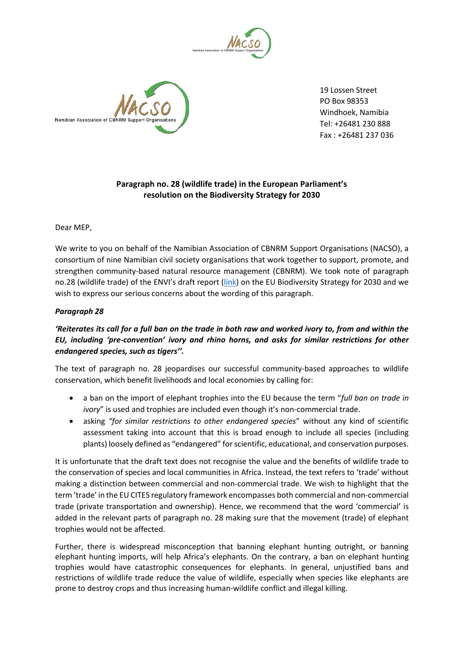



19 Lossen Street PO Box 98353 Windhoek, Namibia Tel: +26481 230 888 Fax : +26481 237 036

## **Paragraph no. 28 (wildlife trade) in the European Parliament's resolution on the Biodiversity Strategy for 2030**

Dear MEP,

We write to you on behalf of the Namibian Association of CBNRM Support Organisations (NACSO), a consortium of nine Namibian civil society organisations that work together to support, promote, and strengthen community-based natural resource management (CBNRM). We took note of paragraph no.28 (wildlife trade) of the ENVI's draft report [\(link\)](https://www.europarl.europa.eu/meetdocs/2014_2019/plmrep/COMMITTEES/ENVI/PR/2021/01-14/1220408EN.pdf) on the EU Biodiversity Strategy for 2030 and we wish to express our serious concerns about the wording of this paragraph.

## *Paragraph 28*

## *'Reiterates its call for a full ban on the trade in both raw and worked ivory to, from and within the EU, including 'pre-convention' ivory and rhino horns, and asks for similar restrictions for other endangered species, such as tigers''.*

The text of paragraph no. 28 jeopardises our successful community-based approaches to wildlife conservation, which benefit livelihoods and local economies by calling for:

- a ban on the import of elephant trophies into the EU because the term "*full ban on trade in ivory*" is used and trophies are included even though it's non-commercial trade.
- asking *"for similar restrictions to other endangered species*" without any kind of scientific assessment taking into account that this is broad enough to include all species (including plants) loosely defined as "endangered" for scientific, educational, and conservation purposes.

It is unfortunate that the draft text does not recognise the value and the benefits of wildlife trade to the conservation of species and local communities in Africa. Instead, the text refers to 'trade' without making a distinction between commercial and non-commercial trade. We wish to highlight that the term 'trade' in the EU CITES regulatory framework encompasses both commercial and non-commercial trade (private transportation and ownership). Hence, we recommend that the word 'commercial' is added in the relevant parts of paragraph no. 28 making sure that the movement (trade) of elephant trophies would not be affected.

Further, there is widespread misconception that banning elephant hunting outright, or banning elephant hunting imports, will help Africa's elephants. On the contrary, a ban on elephant hunting trophies would have catastrophic consequences for elephants. In general, unjustified bans and restrictions of wildlife trade reduce the value of wildlife, especially when species like elephants are prone to destroy crops and thus increasing human-wildlife conflict and illegal killing.